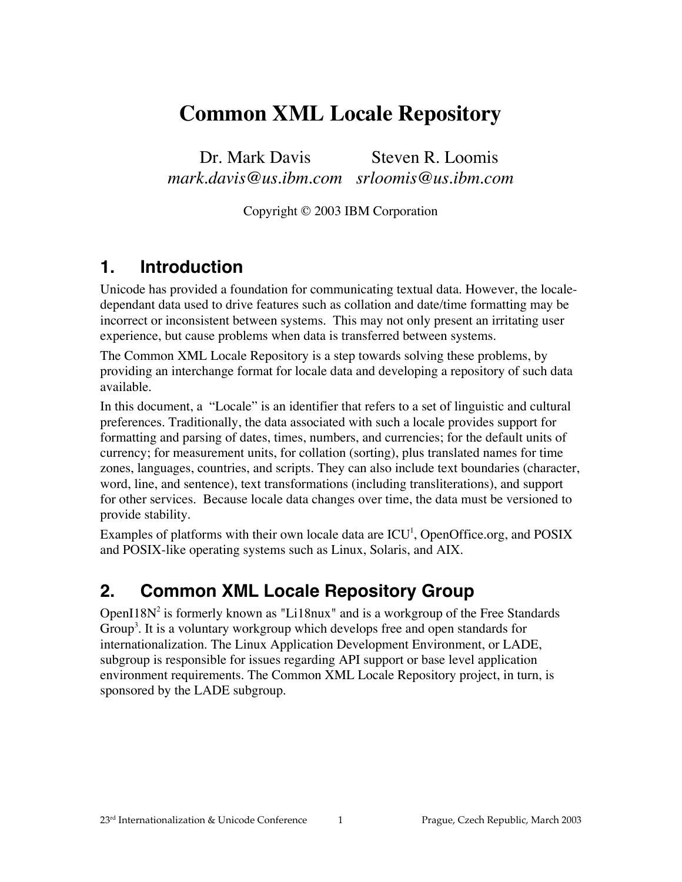# **Common XML Locale Repository**

Dr. Mark Davis *mark.davis@us.ibm.com srloomis@us.ibm.com* Steven R. Loomis

Copyright © 2003 IBM Corporation

## **1. Introduction**

Unicode has provided a foundation for communicating textual data. However, the localedependant data used to drive features such as collation and date/time formatting may be incorrect or inconsistent between systems. This may not only present an irritating user experience, but cause problems when data is transferred between systems.

The Common XML Locale Repository is a step towards solving these problems, by providing an interchange format for locale data and developing a repository of such data available.

In this document, a "Locale" is an identifier that refers to a set of linguistic and cultural preferences. Traditionally, the data associated with such a locale provides support for formatting and parsing of dates, times, numbers, and currencies; for the default units of currency; for measurement units, for collation (sorting), plus translated names for time zones, languages, countries, and scripts. They can also include text boundaries (character, word, line, and sentence), text transformations (including transliterations), and support for other services. Because locale data changes over time, the data must be versioned to provide stability.

Examples of platforms with their own locale data are  $ICU<sup>1</sup>$ , OpenOffice.org, and POSIX and POSIX-like operating systems such as Linux, Solaris, and AIX.

# **2. Common XML Locale Repository Group**

OpenI18 $N^2$  is formerly known as "Li18nux" and is a workgroup of the Free Standards Group<sup>3</sup>. It is a voluntary workgroup which develops free and open standards for internationalization. The Linux Application Development Environment, or LADE, subgroup is responsible for issues regarding API support or base level application environment requirements. The Common XML Locale Repository project, in turn, is sponsored by the LADE subgroup.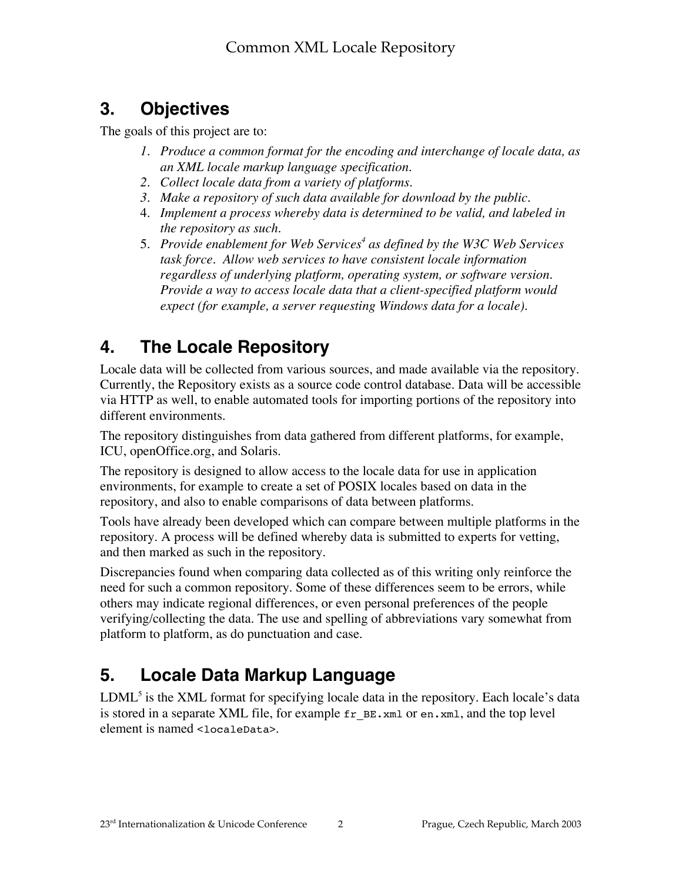# **3. Objectives**

The goals of this project are to:

- *1. Produce a common format for the encoding and interchange of locale data, as an XML locale markup language specification.*
- *2. Collect locale data from a variety of platforms.*
- *3. Make a repository of such data available for download by the public.*
- 4. *Implement a process whereby data is determined to be valid, and labeled in the repository as such.*
- 5. *Provide enablement for Web Services<sup>4</sup> as defined by the W3C Web Services task force. Allow web services to have consistent locale information regardless of underlying platform, operating system, or software version. Provide a way to access locale data that a client-specified platform would expect (for example, a server requesting Windows data for a locale).*

# **4. The Locale Repository**

Locale data will be collected from various sources, and made available via the repository. Currently, the Repository exists as a source code control database. Data will be accessible via HTTP as well, to enable automated tools for importing portions of the repository into different environments.

The repository distinguishes from data gathered from different platforms, for example, ICU, openOffice.org, and Solaris.

The repository is designed to allow access to the locale data for use in application environments, for example to create a set of POSIX locales based on data in the repository, and also to enable comparisons of data between platforms.

Tools have already been developed which can compare between multiple platforms in the repository. A process will be defined whereby data is submitted to experts for vetting, and then marked as such in the repository.

Discrepancies found when comparing data collected as of this writing only reinforce the need for such a common repository. Some of these differences seem to be errors, while others may indicate regional differences, or even personal preferences of the people verifying/collecting the data. The use and spelling of abbreviations vary somewhat from platform to platform, as do punctuation and case.

# **5. Locale Data Markup Language**

 $LDML<sup>5</sup>$  is the XML format for specifying locale data in the repository. Each locale's data is stored in a separate XML file, for example  $fr \text{ }B\text{ }E\text{ }x$  and or en. xml, and the top level element is named <localeData>.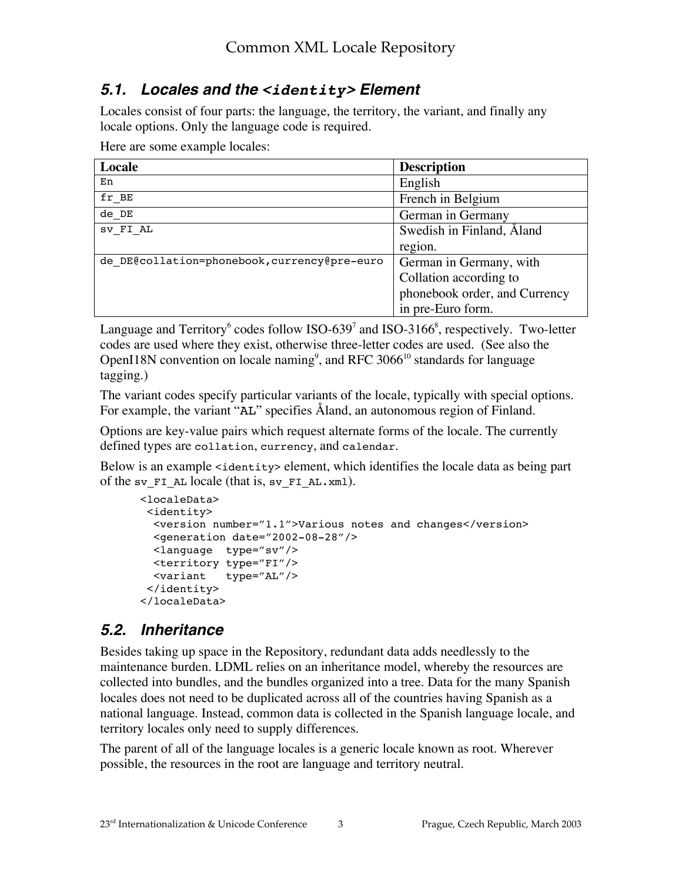### **5.1. Locales and the <identity> Element**

Locales consist of four parts: the language, the territory, the variant, and finally any locale options. Only the language code is required.

Here are some example locales:

| Locale                                       | <b>Description</b>            |
|----------------------------------------------|-------------------------------|
| En                                           | English                       |
| fr BE                                        | French in Belgium             |
| de DE                                        | German in Germany             |
| SV FI AL                                     | Swedish in Finland, Aland     |
|                                              | region.                       |
| de DE@collation=phonebook, currency@pre-euro | German in Germany, with       |
|                                              | Collation according to        |
|                                              | phonebook order, and Currency |
|                                              | in pre-Euro form.             |

Language and Territory<sup>6</sup> codes follow ISO-639<sup>7</sup> and ISO-3166<sup>8</sup>, respectively. Two-letter codes are used where they exist, otherwise three-letter codes are used. (See also the OpenI18N convention on locale naming<sup>9</sup>, and RFC 3066<sup>10</sup> standards for language tagging.)

The variant codes specify particular variants of the locale, typically with special options. For example, the variant "AL" specifies Åland, an autonomous region of Finland.

Options are key-value pairs which request alternate forms of the locale. The currently defined types are collation, currency, and calendar.

Below is an example <identity> element, which identifies the locale data as being part of the sv\_FI\_AL locale (that is, sv\_FI\_AL.xml).

```
<localeData>
  <identity>
  <version number="1.1">Various notes and changes</version>
  <generation date="2002-08-28"/>
  <language type="sv"/>
  <territory type="FI"/>
  <variant type="AL"/>
  </identity>
</localeData>
```
### **5.2. Inheritance**

Besides taking up space in the Repository, redundant data adds needlessly to the maintenance burden. LDML relies on an inheritance model, whereby the resources are collected into bundles, and the bundles organized into a tree. Data for the many Spanish locales does not need to be duplicated across all of the countries having Spanish as a national language. Instead, common data is collected in the Spanish language locale, and territory locales only need to supply differences.

The parent of all of the language locales is a generic locale known as root. Wherever possible, the resources in the root are language and territory neutral.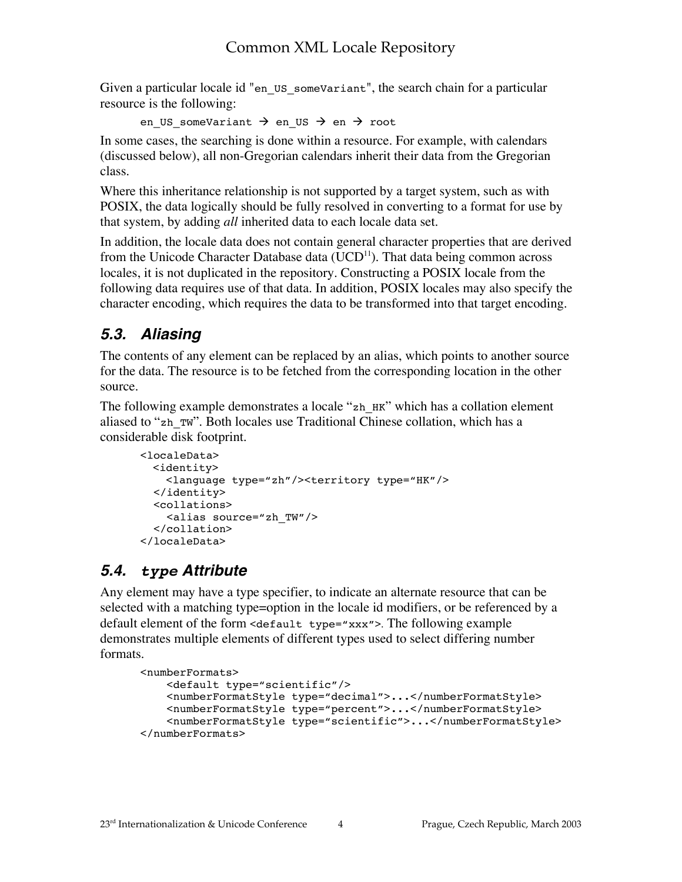Given a particular locale id "en\_US\_someVariant", the search chain for a particular resource is the following:

en US someVariant  $\rightarrow$  en US  $\rightarrow$  en  $\rightarrow$  root

In some cases, the searching is done within a resource. For example, with calendars (discussed below), all non-Gregorian calendars inherit their data from the Gregorian class.

Where this inheritance relationship is not supported by a target system, such as with POSIX, the data logically should be fully resolved in converting to a format for use by that system, by adding *all* inherited data to each locale data set.

In addition, the locale data does not contain general character properties that are derived from the Unicode Character Database data (UCD $^{11}$ ). That data being common across locales, it is not duplicated in the repository. Constructing a POSIX locale from the following data requires use of that data. In addition, POSIX locales may also specify the character encoding, which requires the data to be transformed into that target encoding.

# **5.3. Aliasing**

The contents of any element can be replaced by an alias, which points to another source for the data. The resource is to be fetched from the corresponding location in the other source.

The following example demonstrates a locale "zh\_HK" which has a collation element aliased to "zh\_TW". Both locales use Traditional Chinese collation, which has a considerable disk footprint.

```
<localeData>
   <identity>
     <language type="zh"/><territory type="HK"/>
   </identity>
   <collations>
     <alias source="zh_TW"/>
   </collation>
</localeData>
```
# **5.4. type Attribute**

Any element may have a type specifier, to indicate an alternate resource that can be selected with a matching type=option in the locale id modifiers, or be referenced by a default element of the form <default type="xxx">. The following example demonstrates multiple elements of different types used to select differing number formats.

```
<numberFormats>
     <default type="scientific"/>
     <numberFormatStyle type="decimal">...</numberFormatStyle>
     <numberFormatStyle type="percent">...</numberFormatStyle>
     <numberFormatStyle type="scientific">...</numberFormatStyle>
</numberFormats>
```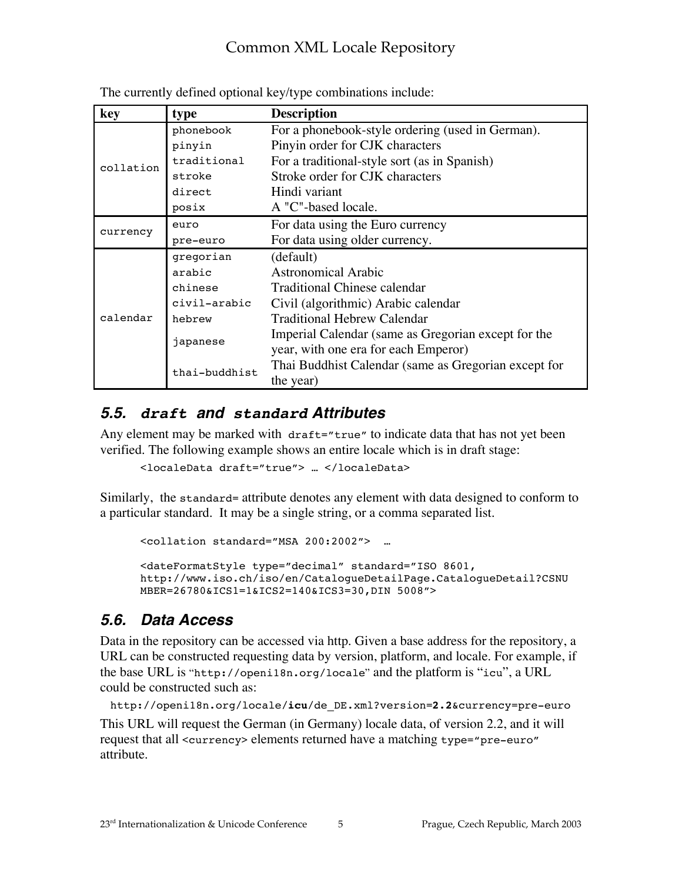## Common XML Locale Repository

| key       | type          | <b>Description</b>                                   |
|-----------|---------------|------------------------------------------------------|
| collation | phonebook     | For a phonebook-style ordering (used in German).     |
|           | pinyin        | Pinyin order for CJK characters                      |
|           | traditional   | For a traditional-style sort (as in Spanish)         |
|           | stroke        | Stroke order for CJK characters                      |
|           | direct        | Hindi variant                                        |
|           | posix         | A "C"-based locale.                                  |
| currency  | euro          | For data using the Euro currency                     |
|           | pre-euro      | For data using older currency.                       |
| calendar  | gregorian     | (default)                                            |
|           | arabic        | Astronomical Arabic                                  |
|           | chinese       | <b>Traditional Chinese calendar</b>                  |
|           | civil-arabic  | Civil (algorithmic) Arabic calendar                  |
|           | hebrew        | <b>Traditional Hebrew Calendar</b>                   |
|           | japanese      | Imperial Calendar (same as Gregorian except for the  |
|           |               | year, with one era for each Emperor)                 |
|           | thai-buddhist | Thai Buddhist Calendar (same as Gregorian except for |
|           |               | the year)                                            |

The currently defined optional key/type combinations include:

#### **5.5. draft and standard Attributes**

Any element may be marked with draft="true" to indicate data that has not yet been verified. The following example shows an entire locale which is in draft stage:

<localeData draft="true"> … </localeData>

Similarly, the standard= attribute denotes any element with data designed to conform to a particular standard. It may be a single string, or a comma separated list.

```
<collation standard="MSA 200:2002"> …
<dateFormatStyle type="decimal" standard="ISO 8601,
http://www.iso.ch/iso/en/CatalogueDetailPage.CatalogueDetail?CSNU
MBER=26780&ICS1=1&ICS2=140&ICS3=30,DIN 5008">
```
### **5.6. Data Access**

Data in the repository can be accessed via http. Given a base address for the repository, a URL can be constructed requesting data by version, platform, and locale. For example, if the base URL is "http://openi18n.org/locale" and the platform is "icu", a URL could be constructed such as:

```
http://openi18n.org/locale/icu/de_DE.xml?version=2.2&currency=pre-euro
This URL will request the German (in Germany) locale data, of version 2.2, and it will
request that all <currency> elements returned have a matching type="pre-euro"
attribute.
```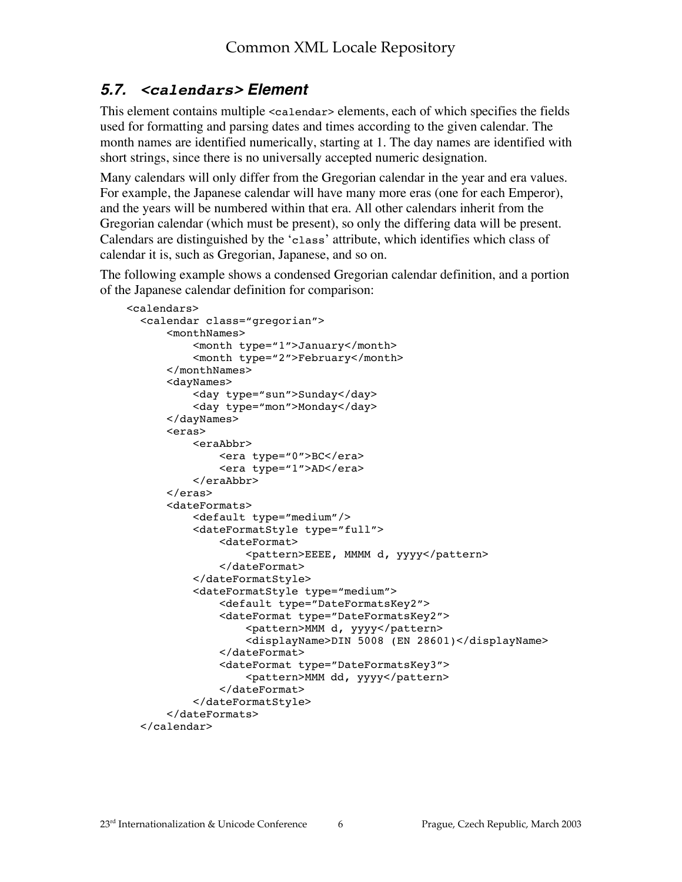## **5.7. <calendars> Element**

This element contains multiple <calendar> elements, each of which specifies the fields used for formatting and parsing dates and times according to the given calendar. The month names are identified numerically, starting at 1. The day names are identified with short strings, since there is no universally accepted numeric designation.

Many calendars will only differ from the Gregorian calendar in the year and era values. For example, the Japanese calendar will have many more eras (one for each Emperor), and the years will be numbered within that era. All other calendars inherit from the Gregorian calendar (which must be present), so only the differing data will be present. Calendars are distinguished by the 'class' attribute, which identifies which class of calendar it is, such as Gregorian, Japanese, and so on.

The following example shows a condensed Gregorian calendar definition, and a portion of the Japanese calendar definition for comparison:

```
 <calendars>
  <calendar class="gregorian">
       <monthNames>
           <month type="1">January</month>
           <month type="2">February</month>
       </monthNames>
       <dayNames>
           <day type="sun">Sunday</day>
           <day type="mon">Monday</day>
       </dayNames>
       <eras>
           <eraAbbr>
               <era type="0">BC</era>
               <era type="1">AD</era>
           </eraAbbr>
       </eras>
       <dateFormats>
           <default type="medium"/>
           <dateFormatStyle type="full">
                <dateFormat>
                    <pattern>EEEE, MMMM d, yyyy</pattern>
                </dateFormat>
           </dateFormatStyle>
           <dateFormatStyle type="medium">
                <default type="DateFormatsKey2">
                <dateFormat type="DateFormatsKey2">
                    <pattern>MMM d, yyyy</pattern>
                    <displayName>DIN 5008 (EN 28601)</displayName>
                </dateFormat>
                <dateFormat type="DateFormatsKey3">
                    <pattern>MMM dd, yyyy</pattern>
                </dateFormat>
           </dateFormatStyle>
       </dateFormats>
  </calendar>
```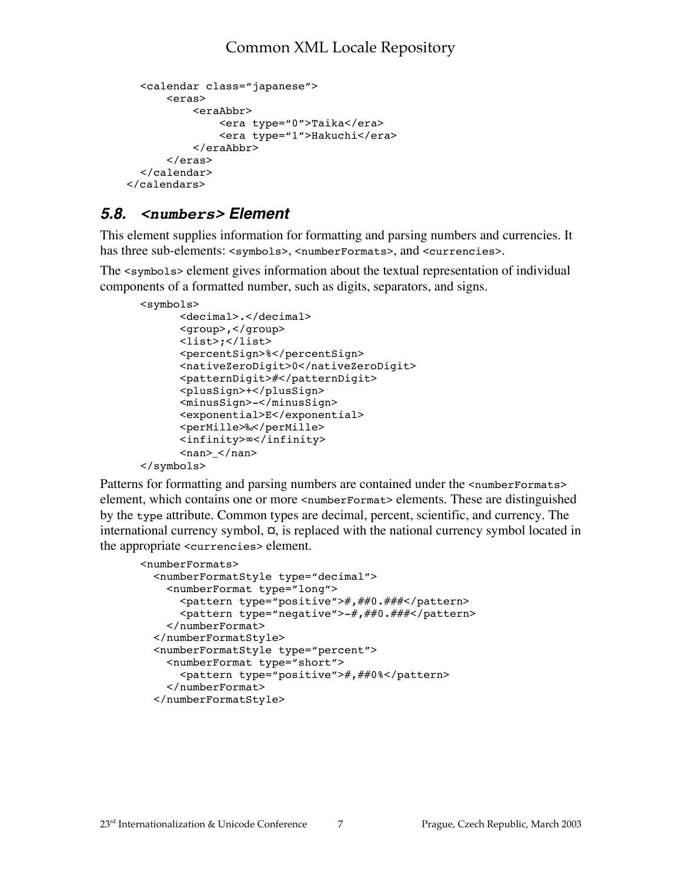```
<calendar class="japanese">
       <eras>
            <eraAbbr>
                <era type="0">Taika</era>
                <era type="1">Hakuchi</era>
            </eraAbbr>
       </eras>
  </calendar>
 </calendars>
```
### **5.8. <numbers> Element**

This element supplies information for formatting and parsing numbers and currencies. It has three sub-elements: <symbols>, <numberFormats>, and <currencies>.

The <symbols> element gives information about the textual representation of individual components of a formatted number, such as digits, separators, and signs.

```
<symbols>
       <decimal>.</decimal>
       <group>,</group>
       <list>;</list>
       <percentSign>%</percentSign>
       <nativeZeroDigit>0</nativeZeroDigit>
       <patternDigit>#</patternDigit>
       <plusSign>+</plusSign>
       <minusSign>-</minusSign>
       <exponential>E</exponential>
       <perMille>‰</perMille>
       <infinity>∞</infinity>
      <nan></nan></symbols>
```
Patterns for formatting and parsing numbers are contained under the  $\alpha$  numberFormats element, which contains one or more <numberFormat> elements. These are distinguished by the type attribute. Common types are decimal, percent, scientific, and currency. The international currency symbol,  $\alpha$ , is replaced with the national currency symbol located in the appropriate <currencies> element.

```
<numberFormats>
   <numberFormatStyle type="decimal">
     <numberFormat type="long">
       <pattern type="positive">#,##0.###</pattern>
       <pattern type="negative">-#,##0.###</pattern>
     </numberFormat>
   </numberFormatStyle>
   <numberFormatStyle type="percent">
     <numberFormat type="short">
       <pattern type="positive">#,##0%</pattern>
     </numberFormat>
   </numberFormatStyle>
```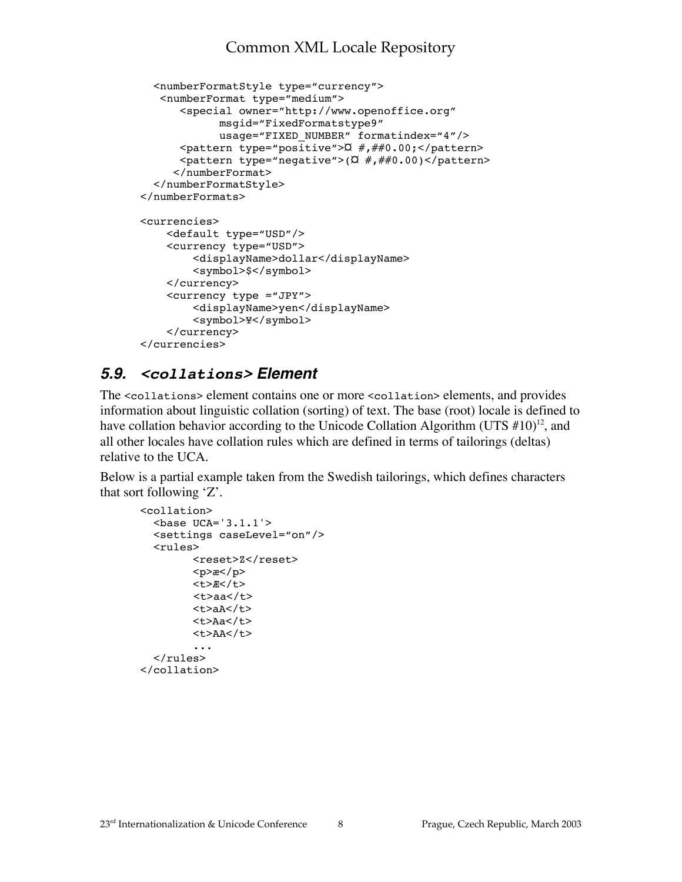### Common XML Locale Repository

```
 <numberFormatStyle type="currency">
    <numberFormat type="medium">
       <special owner="http://www.openoffice.org"
              msgid="FixedFormatstype9"
              usage="FIXED_NUMBER" formatindex="4"/>
      \epsilon <pattern type="positive">\alpha #,##0.00; </pattern>
      \epsilon <pattern type="negative">(\alpha #,##0.00)</pattern>
      </numberFormat>
   </numberFormatStyle>
</numberFormats>
<currencies>
     <default type="USD"/>
     <currency type="USD">
         <displayName>dollar</displayName>
         <symbol>$</symbol>
     </currency>
     <currency type ="JPY">
         <displayName>yen</displayName>
         <symbol>¥</symbol>
     </currency>
</currencies>
```
### **5.9. <collations> Element**

The <collations> element contains one or more <collation> elements, and provides information about linguistic collation (sorting) of text. The base (root) locale is defined to have collation behavior according to the Unicode Collation Algorithm (UTS  $\#10$ )<sup>12</sup>, and all other locales have collation rules which are defined in terms of tailorings (deltas) relative to the UCA.

Below is a partial example taken from the Swedish tailorings, which defines characters that sort following 'Z'.

```
<collation>
  <base UCA='3.1.1'>
" <settings caseLevel="on"/>
" <rules>
         <reset>Z</reset>
         <p>æ</p>
        <t>R</t>
        <t>aa</t> <t>aA</t>
        <t>Aa</t> <t>AA</t>
 ...
   </rules>
</collation>
```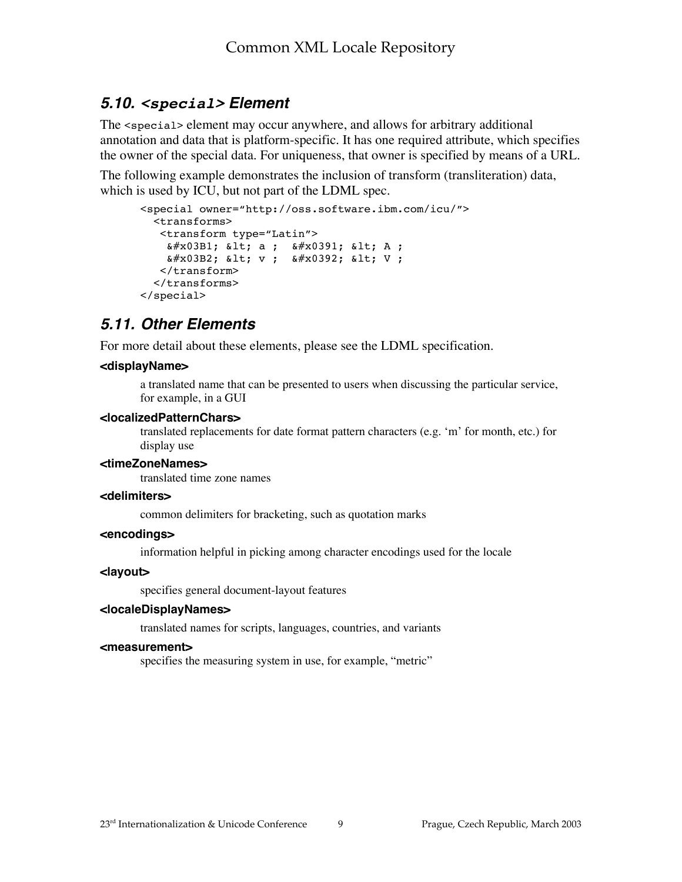### **5.10. <special> Element**

The <special> element may occur anywhere, and allows for arbitrary additional annotation and data that is platform-specific. It has one required attribute, which specifies the owner of the special data. For uniqueness, that owner is specified by means of a URL.

The following example demonstrates the inclusion of transform (transliteration) data, which is used by ICU, but not part of the LDML spec.

```
<special owner="http://oss.software.ibm.com/icu/">
   <transforms>
    <transform type="Latin">
    x \# x 03B1; x 1; a ; x \# x 0391; x 1; A ;
    & #x03B2; & 1t; v; & #x0392; & 1t; V;
   </transform>
   </transforms>
</special>
```
### **5.11. Other Elements**

For more detail about these elements, please see the LDML specification.

#### **<displayName>**

a translated name that can be presented to users when discussing the particular service, for example, in a GUI

#### **<localizedPatternChars>**

translated replacements for date format pattern characters (e.g. 'm' for month, etc.) for display use

#### **<timeZoneNames>**

translated time zone names

#### **<delimiters>**

common delimiters for bracketing, such as quotation marks

#### **<encodings>**

information helpful in picking among character encodings used for the locale

#### **<layout>**

specifies general document-layout features

#### **<localeDisplayNames>**

translated names for scripts, languages, countries, and variants

#### **<measurement>**

specifies the measuring system in use, for example, "metric"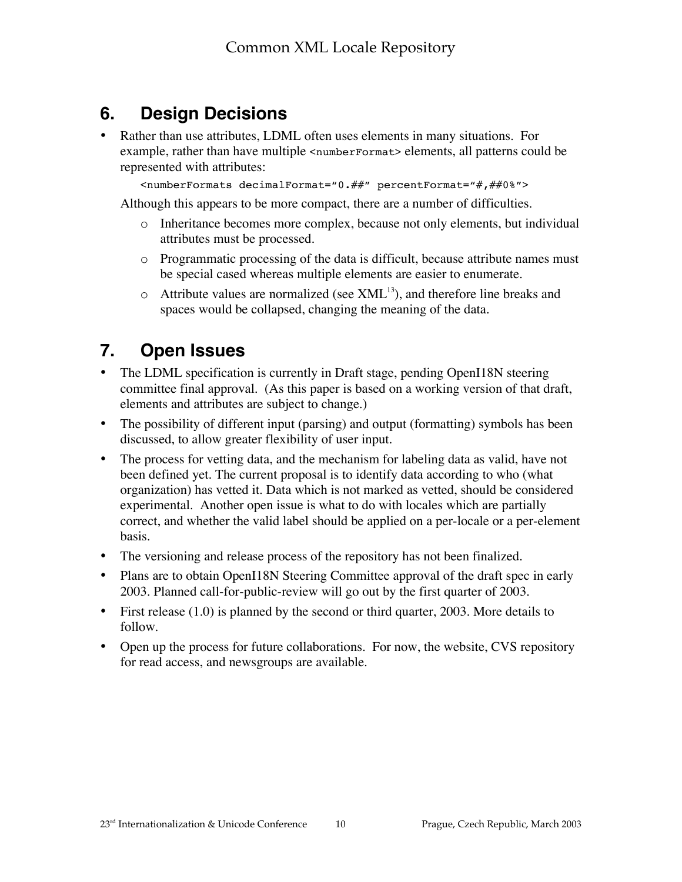# **6. Design Decisions**

Rather than use attributes, LDML often uses elements in many situations. For example, rather than have multiple <numberFormat> elements, all patterns could be represented with attributes:

<numberFormats decimalFormat="0.##" percentFormat="#,##0%">

Although this appears to be more compact, there are a number of difficulties.

- o Inheritance becomes more complex, because not only elements, but individual attributes must be processed.
- o Programmatic processing of the data is difficult, because attribute names must be special cased whereas multiple elements are easier to enumerate.
- $\circ$  Attribute values are normalized (see XML<sup>13</sup>), and therefore line breaks and spaces would be collapsed, changing the meaning of the data.

# **7. Open Issues**

The LDML specification is currently in Draft stage, pending OpenI18N steering committee final approval. (As this paper is based on a working version of that draft, elements and attributes are subject to change.)

The possibility of different input (parsing) and output (formatting) symbols has been discussed, to allow greater flexibility of user input.

The process for vetting data, and the mechanism for labeling data as valid, have not been defined yet. The current proposal is to identify data according to who (what organization) has vetted it. Data which is not marked as vetted, should be considered experimental. Another open issue is what to do with locales which are partially correct, and whether the valid label should be applied on a per-locale or a per-element basis.

The versioning and release process of the repository has not been finalized.

Plans are to obtain OpenI18N Steering Committee approval of the draft spec in early 2003. Planned call-for-public-review will go out by the first quarter of 2003.

First release (1.0) is planned by the second or third quarter, 2003. More details to follow.

Open up the process for future collaborations. For now, the website, CVS repository for read access, and newsgroups are available.